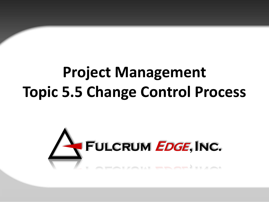# **Project Management Topic 5.5 Change Control Process**

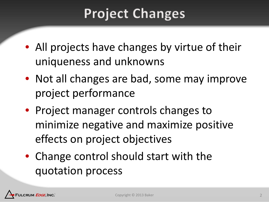## **Project Changes**

- All projects have changes by virtue of their uniqueness and unknowns
- Not all changes are bad, some may improve project performance
- Project manager controls changes to minimize negative and maximize positive effects on project objectives
- Change control should start with the quotation process

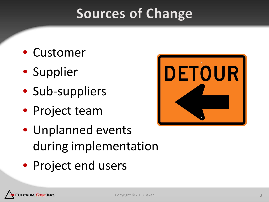### **Sources of Change**

- Customer
- Supplier
- Sub-suppliers
- Project team
- Unplanned events during implementation
- Project end users



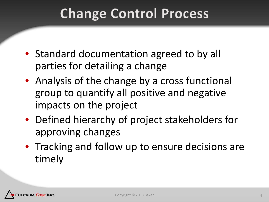### **Change Control Process**

- Standard documentation agreed to by all parties for detailing a change
- Analysis of the change by a cross functional group to quantify all positive and negative impacts on the project
- Defined hierarchy of project stakeholders for approving changes
- Tracking and follow up to ensure decisions are timely

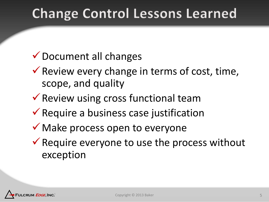## **Change Control Lessons Learned**

### Document all changes

- $\checkmark$  Review every change in terms of cost, time, scope, and quality
- $\checkmark$  Review using cross functional team
- $\checkmark$  Require a business case justification
- $\checkmark$  Make process open to everyone
- $\checkmark$  Require everyone to use the process without exception

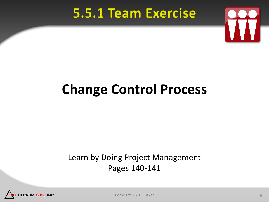### 5.5.1 Team Exercise



## **Change Control Process**

#### Learn by Doing Project Management Pages 140-141



Copyright © 2013 Baker